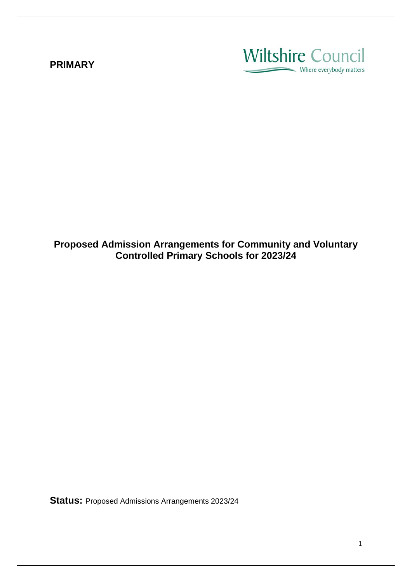### **PRIMARY**

# **Wiltshire Council** - Where everybody matters

**Proposed Admission Arrangements for Community and Voluntary Controlled Primary Schools for 2023/24**

**Status:** Proposed Admissions Arrangements 2023/24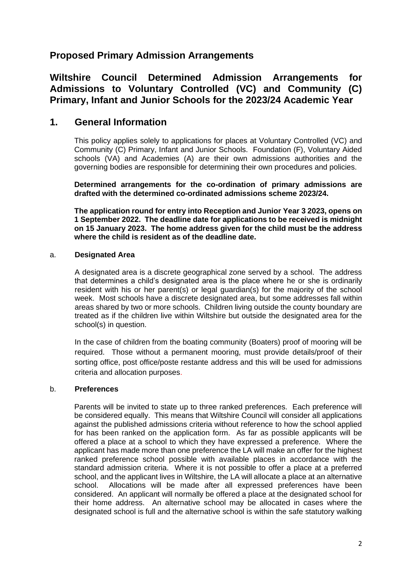## **Proposed Primary Admission Arrangements**

**Wiltshire Council Determined Admission Arrangements for Admissions to Voluntary Controlled (VC) and Community (C) Primary, Infant and Junior Schools for the 2023/24 Academic Year**

### **1. General Information**

This policy applies solely to applications for places at Voluntary Controlled (VC) and Community (C) Primary, Infant and Junior Schools. Foundation (F), Voluntary Aided schools (VA) and Academies (A) are their own admissions authorities and the governing bodies are responsible for determining their own procedures and policies.

**Determined arrangements for the co-ordination of primary admissions are drafted with the determined co-ordinated admissions scheme 2023/24.**

**The application round for entry into Reception and Junior Year 3 2023, opens on 1 September 2022. The deadline date for applications to be received is midnight on 15 January 2023. The home address given for the child must be the address where the child is resident as of the deadline date.**

#### a. **Designated Area**

A designated area is a discrete geographical zone served by a school. The address that determines a child's designated area is the place where he or she is ordinarily resident with his or her parent(s) or legal guardian(s) for the majority of the school week. Most schools have a discrete designated area, but some addresses fall within areas shared by two or more schools. Children living outside the county boundary are treated as if the children live within Wiltshire but outside the designated area for the school(s) in question.

In the case of children from the boating community (Boaters) proof of mooring will be required. Those without a permanent mooring, must provide details/proof of their sorting office, post office/poste restante address and this will be used for admissions criteria and allocation purposes.

#### b. **Preferences**

Parents will be invited to state up to three ranked preferences. Each preference will be considered equally. This means that Wiltshire Council will consider all applications against the published admissions criteria without reference to how the school applied for has been ranked on the application form. As far as possible applicants will be offered a place at a school to which they have expressed a preference. Where the applicant has made more than one preference the LA will make an offer for the highest ranked preference school possible with available places in accordance with the standard admission criteria. Where it is not possible to offer a place at a preferred school, and the applicant lives in Wiltshire, the LA will allocate a place at an alternative school. Allocations will be made after all expressed preferences have been considered. An applicant will normally be offered a place at the designated school for their home address. An alternative school may be allocated in cases where the designated school is full and the alternative school is within the safe statutory walking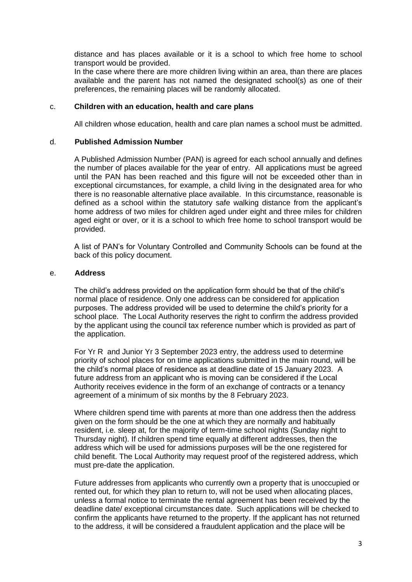distance and has places available or it is a school to which free home to school transport would be provided.

In the case where there are more children living within an area, than there are places available and the parent has not named the designated school(s) as one of their preferences, the remaining places will be randomly allocated.

#### c. **Children with an education, health and care plans**

All children whose education, health and care plan names a school must be admitted.

#### d. **Published Admission Number**

A Published Admission Number (PAN) is agreed for each school annually and defines the number of places available for the year of entry. All applications must be agreed until the PAN has been reached and this figure will not be exceeded other than in exceptional circumstances, for example, a child living in the designated area for who there is no reasonable alternative place available. In this circumstance, reasonable is defined as a school within the statutory safe walking distance from the applicant's home address of two miles for children aged under eight and three miles for children aged eight or over, or it is a school to which free home to school transport would be provided.

A list of PAN's for Voluntary Controlled and Community Schools can be found at the back of this policy document.

#### e. **Address**

The child's address provided on the application form should be that of the child's normal place of residence. Only one address can be considered for application purposes. The address provided will be used to determine the child's priority for a school place. The Local Authority reserves the right to confirm the address provided by the applicant using the council tax reference number which is provided as part of the application.

For Yr R and Junior Yr 3 September 2023 entry, the address used to determine priority of school places for on time applications submitted in the main round, will be the child's normal place of residence as at deadline date of 15 January 2023. A future address from an applicant who is moving can be considered if the Local Authority receives evidence in the form of an exchange of contracts or a tenancy agreement of a minimum of six months by the 8 February 2023.

Where children spend time with parents at more than one address then the address given on the form should be the one at which they are normally and habitually resident, i.e. sleep at, for the majority of term-time school nights (Sunday night to Thursday night). If children spend time equally at different addresses, then the address which will be used for admissions purposes will be the one registered for child benefit. The Local Authority may request proof of the registered address, which must pre-date the application.

Future addresses from applicants who currently own a property that is unoccupied or rented out, for which they plan to return to, will not be used when allocating places, unless a formal notice to terminate the rental agreement has been received by the deadline date/ exceptional circumstances date. Such applications will be checked to confirm the applicants have returned to the property. If the applicant has not returned to the address, it will be considered a fraudulent application and the place will be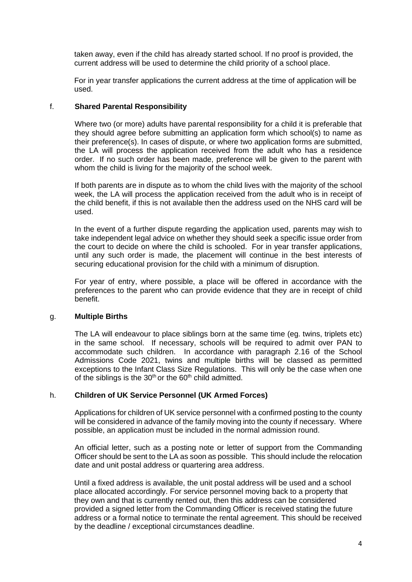taken away, even if the child has already started school. If no proof is provided, the current address will be used to determine the child priority of a school place.

For in year transfer applications the current address at the time of application will be used.

#### f. **Shared Parental Responsibility**

Where two (or more) adults have parental responsibility for a child it is preferable that they should agree before submitting an application form which school(s) to name as their preference(s). In cases of dispute, or where two application forms are submitted, the LA will process the application received from the adult who has a residence order. If no such order has been made, preference will be given to the parent with whom the child is living for the majority of the school week.

If both parents are in dispute as to whom the child lives with the majority of the school week, the LA will process the application received from the adult who is in receipt of the child benefit, if this is not available then the address used on the NHS card will be used.

In the event of a further dispute regarding the application used, parents may wish to take independent legal advice on whether they should seek a specific issue order from the court to decide on where the child is schooled. For in year transfer applications, until any such order is made, the placement will continue in the best interests of securing educational provision for the child with a minimum of disruption.

For year of entry, where possible, a place will be offered in accordance with the preferences to the parent who can provide evidence that they are in receipt of child benefit.

#### g. **Multiple Births**

The LA will endeavour to place siblings born at the same time (eg. twins, triplets etc) in the same school. If necessary, schools will be required to admit over PAN to accommodate such children. In accordance with paragraph 2.16 of the School Admissions Code 2021, twins and multiple births will be classed as permitted exceptions to the Infant Class Size Regulations. This will only be the case when one of the siblings is the  $30<sup>th</sup>$  or the  $60<sup>th</sup>$  child admitted.

#### h. **Children of UK Service Personnel (UK Armed Forces)**

Applications for children of UK service personnel with a confirmed posting to the county will be considered in advance of the family moving into the county if necessary. Where possible, an application must be included in the normal admission round.

An official letter, such as a posting note or letter of support from the Commanding Officer should be sent to the LA as soon as possible. This should include the relocation date and unit postal address or quartering area address.

Until a fixed address is available, the unit postal address will be used and a school place allocated accordingly. For service personnel moving back to a property that they own and that is currently rented out, then this address can be considered provided a signed letter from the Commanding Officer is received stating the future address or a formal notice to terminate the rental agreement. This should be received by the deadline / exceptional circumstances deadline.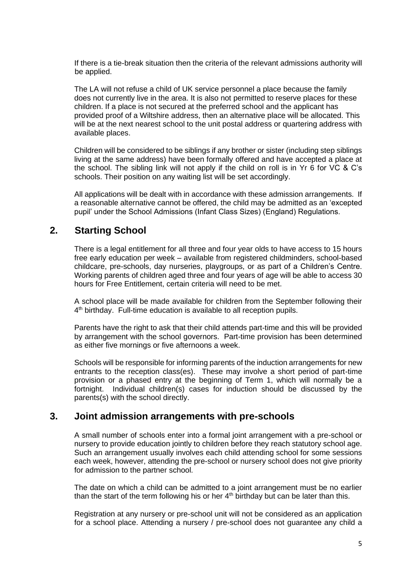If there is a tie-break situation then the criteria of the relevant admissions authority will be applied.

The LA will not refuse a child of UK service personnel a place because the family does not currently live in the area. It is also not permitted to reserve places for these children. If a place is not secured at the preferred school and the applicant has provided proof of a Wiltshire address, then an alternative place will be allocated. This will be at the next nearest school to the unit postal address or quartering address with available places.

Children will be considered to be siblings if any brother or sister (including step siblings living at the same address) have been formally offered and have accepted a place at the school. The sibling link will not apply if the child on roll is in Yr 6 for VC & C's schools. Their position on any waiting list will be set accordingly.

All applications will be dealt with in accordance with these admission arrangements. If a reasonable alternative cannot be offered, the child may be admitted as an 'excepted pupil' under the School Admissions (Infant Class Sizes) (England) Regulations.

## **2. Starting School**

There is a legal entitlement for all three and four year olds to have access to 15 hours free early education per week – available from registered childminders, school-based childcare, pre-schools, day nurseries, playgroups, or as part of a Children's Centre. Working parents of children aged three and four years of age will be able to access 30 hours for Free Entitlement, certain criteria will need to be met.

A school place will be made available for children from the September following their 4<sup>th</sup> birthday. Full-time education is available to all reception pupils.

Parents have the right to ask that their child attends part-time and this will be provided by arrangement with the school governors. Part-time provision has been determined as either five mornings or five afternoons a week.

Schools will be responsible for informing parents of the induction arrangements for new entrants to the reception class(es). These may involve a short period of part-time provision or a phased entry at the beginning of Term 1, which will normally be a fortnight. Individual children(s) cases for induction should be discussed by the parents(s) with the school directly.

### **3. Joint admission arrangements with pre-schools**

A small number of schools enter into a formal joint arrangement with a pre-school or nursery to provide education jointly to children before they reach statutory school age. Such an arrangement usually involves each child attending school for some sessions each week, however, attending the pre-school or nursery school does not give priority for admission to the partner school.

The date on which a child can be admitted to a joint arrangement must be no earlier than the start of the term following his or her  $4<sup>th</sup>$  birthday but can be later than this.

Registration at any nursery or pre-school unit will not be considered as an application for a school place. Attending a nursery / pre-school does not guarantee any child a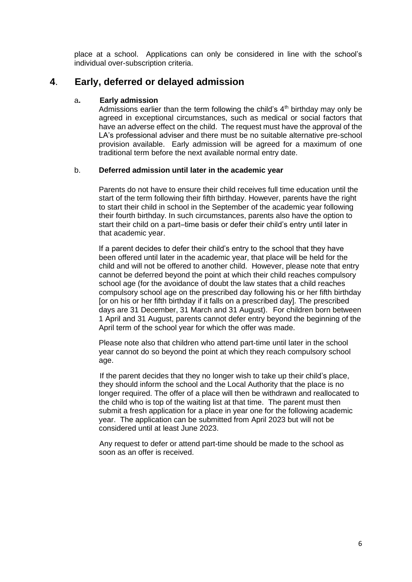place at a school. Applications can only be considered in line with the school's individual over-subscription criteria.

### **4**. **Early, deferred or delayed admission**

#### a**. Early admission**

Admissions earlier than the term following the child's  $4<sup>th</sup>$  birthday may only be agreed in exceptional circumstances, such as medical or social factors that have an adverse effect on the child. The request must have the approval of the LA's professional adviser and there must be no suitable alternative pre-school provision available. Early admission will be agreed for a maximum of one traditional term before the next available normal entry date.

#### b. **Deferred admission until later in the academic year**

Parents do not have to ensure their child receives full time education until the start of the term following their fifth birthday. However, parents have the right to start their child in school in the September of the academic year following their fourth birthday. In such circumstances, parents also have the option to start their child on a part–time basis or defer their child's entry until later in that academic year.

If a parent decides to defer their child's entry to the school that they have been offered until later in the academic year, that place will be held for the child and will not be offered to another child. However, please note that entry cannot be deferred beyond the point at which their child reaches compulsory school age (for the avoidance of doubt the law states that a child reaches compulsory school age on the prescribed day following his or her fifth birthday [or on his or her fifth birthday if it falls on a prescribed day]. The prescribed days are 31 December, 31 March and 31 August). For children born between 1 April and 31 August, parents cannot defer entry beyond the beginning of the April term of the school year for which the offer was made.

Please note also that children who attend part-time until later in the school year cannot do so beyond the point at which they reach compulsory school age.

If the parent decides that they no longer wish to take up their child's place, they should inform the school and the Local Authority that the place is no longer required. The offer of a place will then be withdrawn and reallocated to the child who is top of the waiting list at that time. The parent must then submit a fresh application for a place in year one for the following academic year. The application can be submitted from April 2023 but will not be considered until at least June 2023.

Any request to defer or attend part-time should be made to the school as soon as an offer is received.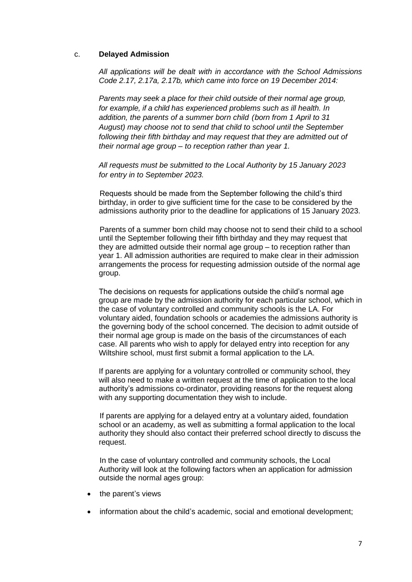#### c. **Delayed Admission**

*All applications will be dealt with in accordance with the School Admissions Code 2.17, 2.17a, 2.17b, which came into force on 19 December 2014:*

*Parents may seek a place for their child outside of their normal age group, for example, if a child has experienced problems such as ill health. In addition, the parents of a summer born child (born from 1 April to 31 August) may choose not to send that child to school until the September following their fifth birthday and may request that they are admitted out of their normal age group – to reception rather than year 1.*

*All requests must be submitted to the Local Authority by 15 January 2023 for entry in to September 2023.*

Requests should be made from the September following the child's third birthday, in order to give sufficient time for the case to be considered by the admissions authority prior to the deadline for applications of 15 January 2023.

Parents of a summer born child may choose not to send their child to a school until the September following their fifth birthday and they may request that they are admitted outside their normal age group – to reception rather than year 1. All admission authorities are required to make clear in their admission arrangements the process for requesting admission outside of the normal age group.

The decisions on requests for applications outside the child's normal age group are made by the admission authority for each particular school, which in the case of voluntary controlled and community schools is the LA. For voluntary aided, foundation schools or academies the admissions authority is the governing body of the school concerned. The decision to admit outside of their normal age group is made on the basis of the circumstances of each case. All parents who wish to apply for delayed entry into reception for any Wiltshire school, must first submit a formal application to the LA.

If parents are applying for a voluntary controlled or community school, they will also need to make a written request at the time of application to the local authority's admissions co-ordinator, providing reasons for the request along with any supporting documentation they wish to include.

If parents are applying for a delayed entry at a voluntary aided, foundation school or an academy, as well as submitting a formal application to the local authority they should also contact their preferred school directly to discuss the request.

In the case of voluntary controlled and community schools, the Local Authority will look at the following factors when an application for admission outside the normal ages group:

- the parent's views
- information about the child's academic, social and emotional development;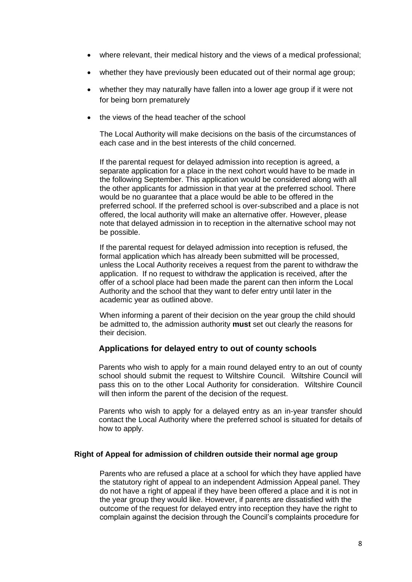- where relevant, their medical history and the views of a medical professional;
- whether they have previously been educated out of their normal age group;
- whether they may naturally have fallen into a lower age group if it were not for being born prematurely
- the views of the head teacher of the school

The Local Authority will make decisions on the basis of the circumstances of each case and in the best interests of the child concerned.

If the parental request for delayed admission into reception is agreed, a separate application for a place in the next cohort would have to be made in the following September. This application would be considered along with all the other applicants for admission in that year at the preferred school. There would be no guarantee that a place would be able to be offered in the preferred school. If the preferred school is over-subscribed and a place is not offered, the local authority will make an alternative offer. However, please note that delayed admission in to reception in the alternative school may not be possible.

If the parental request for delayed admission into reception is refused, the formal application which has already been submitted will be processed, unless the Local Authority receives a request from the parent to withdraw the application. If no request to withdraw the application is received, after the offer of a school place had been made the parent can then inform the Local Authority and the school that they want to defer entry until later in the academic year as outlined above.

When informing a parent of their decision on the year group the child should be admitted to, the admission authority **must** set out clearly the reasons for their decision.

#### **Applications for delayed entry to out of county schools**

Parents who wish to apply for a main round delayed entry to an out of county school should submit the request to Wiltshire Council. Wiltshire Council will pass this on to the other Local Authority for consideration. Wiltshire Council will then inform the parent of the decision of the request.

Parents who wish to apply for a delayed entry as an in-year transfer should contact the Local Authority where the preferred school is situated for details of how to apply.

#### **Right of Appeal for admission of children outside their normal age group**

Parents who are refused a place at a school for which they have applied have the statutory right of appeal to an independent Admission Appeal panel. They do not have a right of appeal if they have been offered a place and it is not in the year group they would like. However, if parents are dissatisfied with the outcome of the request for delayed entry into reception they have the right to complain against the decision through the Council's complaints procedure for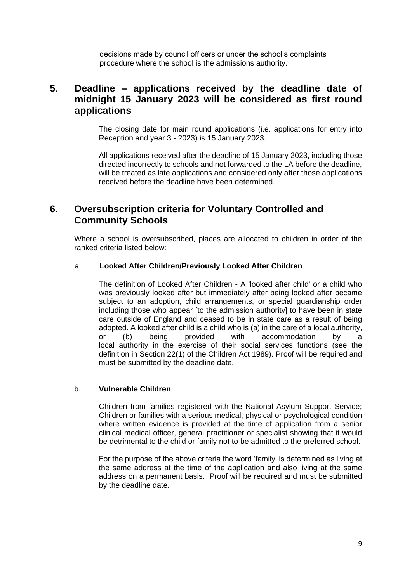decisions made by council officers or under the school's complaints procedure where the school is the admissions authority.

### **5**. **Deadline – applications received by the deadline date of midnight 15 January 2023 will be considered as first round applications**

The closing date for main round applications (i.e. applications for entry into Reception and year 3 - 2023) is 15 January 2023.

All applications received after the deadline of 15 January 2023, including those directed incorrectly to schools and not forwarded to the LA before the deadline, will be treated as late applications and considered only after those applications received before the deadline have been determined.

## **6. Oversubscription criteria for Voluntary Controlled and Community Schools**

Where a school is oversubscribed, places are allocated to children in order of the ranked criteria listed below:

#### a. **Looked After Children/Previously Looked After Children**

The definition of Looked After Children - A 'looked after child' or a child who was previously looked after but immediately after being looked after became subject to an adoption, child arrangements, or special guardianship order including those who appear [to the admission authority] to have been in state care outside of England and ceased to be in state care as a result of being adopted. A looked after child is a child who is (a) in the care of a local authority, or (b) being provided with accommodation by a local authority in the exercise of their social services functions (see the definition in Section 22(1) of the Children Act 1989). Proof will be required and must be submitted by the deadline date.

#### b. **Vulnerable Children**

Children from families registered with the National Asylum Support Service; Children or families with a serious medical, physical or psychological condition where written evidence is provided at the time of application from a senior clinical medical officer, general practitioner or specialist showing that it would be detrimental to the child or family not to be admitted to the preferred school.

For the purpose of the above criteria the word 'family' is determined as living at the same address at the time of the application and also living at the same address on a permanent basis. Proof will be required and must be submitted by the deadline date.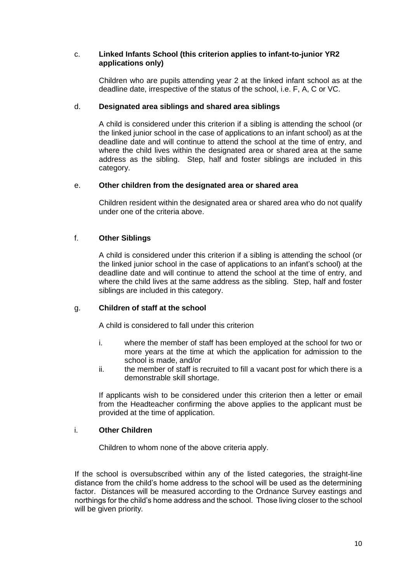#### c. **Linked Infants School (this criterion applies to infant-to-junior YR2 applications only)**

Children who are pupils attending year 2 at the linked infant school as at the deadline date, irrespective of the status of the school, i.e. F, A, C or VC.

#### d. **Designated area siblings and shared area siblings**

A child is considered under this criterion if a sibling is attending the school (or the linked junior school in the case of applications to an infant school) as at the deadline date and will continue to attend the school at the time of entry, and where the child lives within the designated area or shared area at the same address as the sibling. Step, half and foster siblings are included in this category.

#### e. **Other children from the designated area or shared area**

Children resident within the designated area or shared area who do not qualify under one of the criteria above.

### f. **Other Siblings**

A child is considered under this criterion if a sibling is attending the school (or the linked junior school in the case of applications to an infant's school) at the deadline date and will continue to attend the school at the time of entry, and where the child lives at the same address as the sibling. Step, half and foster siblings are included in this category.

#### g. **Children of staff at the school**

A child is considered to fall under this criterion

- i. where the member of staff has been employed at the school for two or more years at the time at which the application for admission to the school is made, and/or
- ii. the member of staff is recruited to fill a vacant post for which there is a demonstrable skill shortage.

If applicants wish to be considered under this criterion then a letter or email from the Headteacher confirming the above applies to the applicant must be provided at the time of application.

#### i. **Other Children**

Children to whom none of the above criteria apply.

If the school is oversubscribed within any of the listed categories, the straight-line distance from the child's home address to the school will be used as the determining factor. Distances will be measured according to the Ordnance Survey eastings and northings for the child's home address and the school. Those living closer to the school will be given priority*.*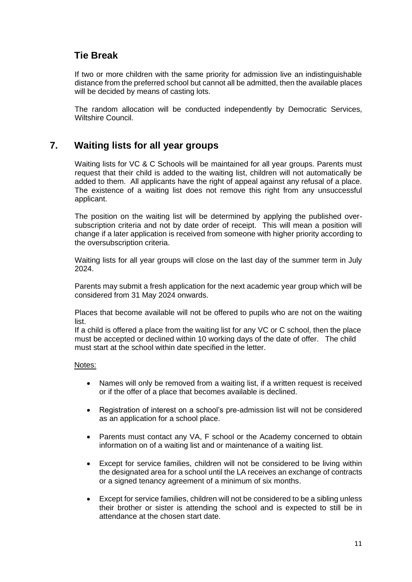## **Tie Break**

If two or more children with the same priority for admission live an indistinguishable distance from the preferred school but cannot all be admitted, then the available places will be decided by means of casting lots.

The random allocation will be conducted independently by Democratic Services, Wiltshire Council.

## **7. Waiting lists for all year groups**

Waiting lists for VC & C Schools will be maintained for all year groups. Parents must request that their child is added to the waiting list, children will not automatically be added to them. All applicants have the right of appeal against any refusal of a place. The existence of a waiting list does not remove this right from any unsuccessful applicant.

The position on the waiting list will be determined by applying the published oversubscription criteria and not by date order of receipt. This will mean a position will change if a later application is received from someone with higher priority according to the oversubscription criteria.

Waiting lists for all year groups will close on the last day of the summer term in July 2024.

Parents may submit a fresh application for the next academic year group which will be considered from 31 May 2024 onwards.

Places that become available will not be offered to pupils who are not on the waiting list.

If a child is offered a place from the waiting list for any VC or C school, then the place must be accepted or declined within 10 working days of the date of offer. The child must start at the school within date specified in the letter.

#### Notes:

- Names will only be removed from a waiting list, if a written request is received or if the offer of a place that becomes available is declined.
- Registration of interest on a school's pre-admission list will not be considered as an application for a school place.
- Parents must contact any VA, F school or the Academy concerned to obtain information on of a waiting list and or maintenance of a waiting list.
- Except for service families, children will not be considered to be living within the designated area for a school until the LA receives an exchange of contracts or a signed tenancy agreement of a minimum of six months.
- Except for service families, children will not be considered to be a sibling unless their brother or sister is attending the school and is expected to still be in attendance at the chosen start date.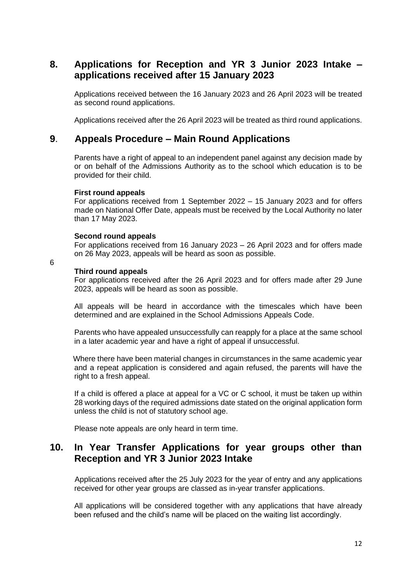## **8. Applications for Reception and YR 3 Junior 2023 Intake – applications received after 15 January 2023**

Applications received between the 16 January 2023 and 26 April 2023 will be treated as second round applications.

Applications received after the 26 April 2023 will be treated as third round applications.

### **9**. **Appeals Procedure – Main Round Applications**

Parents have a right of appeal to an independent panel against any decision made by or on behalf of the Admissions Authority as to the school which education is to be provided for their child.

#### **First round appeals**

For applications received from 1 September 2022 – 15 January 2023 and for offers made on National Offer Date, appeals must be received by the Local Authority no later than 17 May 2023.

#### **Second round appeals**

For applications received from 16 January 2023 – 26 April 2023 and for offers made on 26 May 2023, appeals will be heard as soon as possible.

6

#### **Third round appeals**

For applications received after the 26 April 2023 and for offers made after 29 June 2023, appeals will be heard as soon as possible.

All appeals will be heard in accordance with the timescales which have been determined and are explained in the School Admissions Appeals Code.

Parents who have appealed unsuccessfully can reapply for a place at the same school in a later academic year and have a right of appeal if unsuccessful.

 Where there have been material changes in circumstances in the same academic year and a repeat application is considered and again refused, the parents will have the right to a fresh appeal.

If a child is offered a place at appeal for a VC or C school, it must be taken up within 28 working days of the required admissions date stated on the original application form unless the child is not of statutory school age.

Please note appeals are only heard in term time.

### **10. In Year Transfer Applications for year groups other than Reception and YR 3 Junior 2023 Intake**

Applications received after the 25 July 2023 for the year of entry and any applications received for other year groups are classed as in-year transfer applications.

All applications will be considered together with any applications that have already been refused and the child's name will be placed on the waiting list accordingly.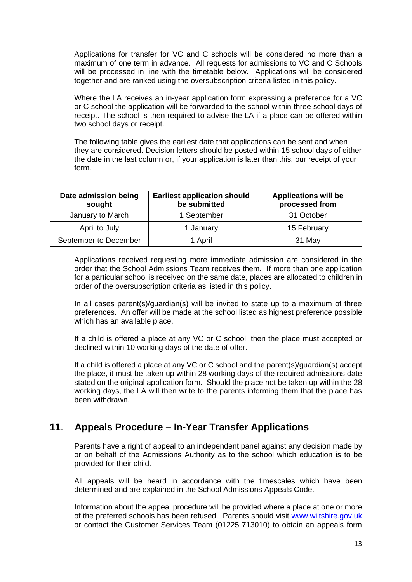Applications for transfer for VC and C schools will be considered no more than a maximum of one term in advance. All requests for admissions to VC and C Schools will be processed in line with the timetable below. Applications will be considered together and are ranked using the oversubscription criteria listed in this policy.

Where the LA receives an in-year application form expressing a preference for a VC or C school the application will be forwarded to the school within three school days of receipt. The school is then required to advise the LA if a place can be offered within two school days or receipt.

The following table gives the earliest date that applications can be sent and when they are considered. Decision letters should be posted within 15 school days of either the date in the last column or, if your application is later than this, our receipt of your form.

| Date admission being<br>sought | <b>Earliest application should</b><br>be submitted | <b>Applications will be</b><br>processed from |
|--------------------------------|----------------------------------------------------|-----------------------------------------------|
| January to March               | 1 September                                        | 31 October                                    |
| April to July                  | 1 January                                          | 15 February                                   |
| September to December          | 1 April                                            | 31 May                                        |

Applications received requesting more immediate admission are considered in the order that the School Admissions Team receives them. If more than one application for a particular school is received on the same date, places are allocated to children in order of the oversubscription criteria as listed in this policy.

In all cases parent(s)/guardian(s) will be invited to state up to a maximum of three preferences. An offer will be made at the school listed as highest preference possible which has an available place.

If a child is offered a place at any VC or C school, then the place must accepted or declined within 10 working days of the date of offer.

If a child is offered a place at any VC or C school and the parent(s)/guardian(s) accept the place, it must be taken up within 28 working days of the required admissions date stated on the original application form. Should the place not be taken up within the 28 working days, the LA will then write to the parents informing them that the place has been withdrawn.

## **11**. **Appeals Procedure – In-Year Transfer Applications**

Parents have a right of appeal to an independent panel against any decision made by or on behalf of the Admissions Authority as to the school which education is to be provided for their child.

All appeals will be heard in accordance with the timescales which have been determined and are explained in the School Admissions Appeals Code.

Information about the appeal procedure will be provided where a place at one or more of the preferred schools has been refused. Parents should visit [www.wiltshire.gov.uk](http://www.wiltshire.gov.uk/) or contact the Customer Services Team (01225 713010) to obtain an appeals form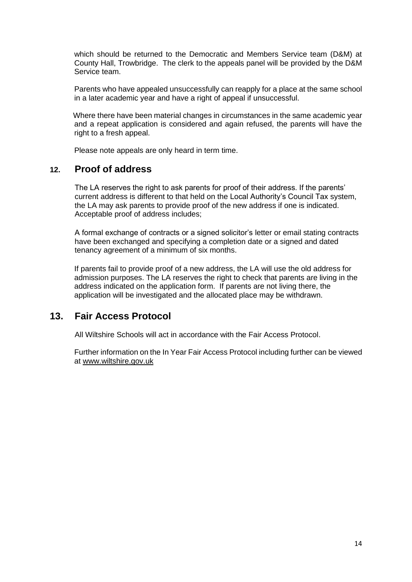which should be returned to the Democratic and Members Service team (D&M) at County Hall, Trowbridge. The clerk to the appeals panel will be provided by the D&M Service team.

Parents who have appealed unsuccessfully can reapply for a place at the same school in a later academic year and have a right of appeal if unsuccessful.

 Where there have been material changes in circumstances in the same academic year and a repeat application is considered and again refused, the parents will have the right to a fresh appeal.

Please note appeals are only heard in term time.

### **12. Proof of address**

The LA reserves the right to ask parents for proof of their address. If the parents' current address is different to that held on the Local Authority's Council Tax system, the LA may ask parents to provide proof of the new address if one is indicated. Acceptable proof of address includes;

A formal exchange of contracts or a signed solicitor's letter or email stating contracts have been exchanged and specifying a completion date or a signed and dated tenancy agreement of a minimum of six months.

If parents fail to provide proof of a new address, the LA will use the old address for admission purposes. The LA reserves the right to check that parents are living in the address indicated on the application form. If parents are not living there, the application will be investigated and the allocated place may be withdrawn.

### **13. Fair Access Protocol**

All Wiltshire Schools will act in accordance with the Fair Access Protocol.

Further information on the In Year Fair Access Protocol including further can be viewed at [www.wiltshire.gov.uk](http://www.wiltshire.gov.uk/)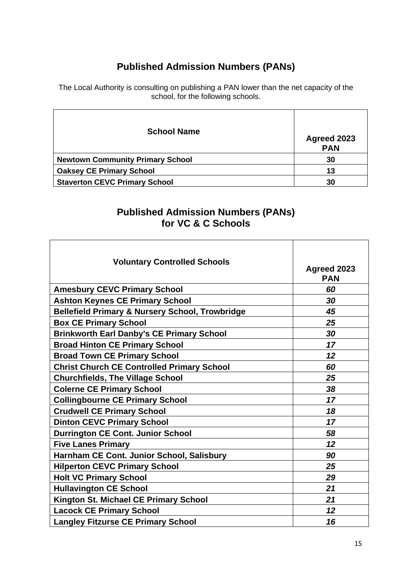# **Published Admission Numbers (PANs)**

The Local Authority is consulting on publishing a PAN lower than the net capacity of the school, for the following schools.

| <b>School Name</b>                      | Agreed 2023<br><b>PAN</b> |
|-----------------------------------------|---------------------------|
| <b>Newtown Community Primary School</b> | 30                        |
| <b>Oaksey CE Primary School</b>         | 13                        |
| <b>Staverton CEVC Primary School</b>    | 30                        |

## **Published Admission Numbers (PANs) for VC & C Schools**

| <b>Voluntary Controlled Schools</b>                        | Agreed 2023<br><b>PAN</b> |
|------------------------------------------------------------|---------------------------|
| <b>Amesbury CEVC Primary School</b>                        | 60                        |
| <b>Ashton Keynes CE Primary School</b>                     | 30                        |
| <b>Bellefield Primary &amp; Nursery School, Trowbridge</b> | 45                        |
| <b>Box CE Primary School</b>                               | 25                        |
| <b>Brinkworth Earl Danby's CE Primary School</b>           | 30                        |
| <b>Broad Hinton CE Primary School</b>                      | 17                        |
| <b>Broad Town CE Primary School</b>                        | 12                        |
| <b>Christ Church CE Controlled Primary School</b>          | 60                        |
| <b>Churchfields, The Village School</b>                    | 25                        |
| <b>Colerne CE Primary School</b>                           | 38                        |
| <b>Collingbourne CE Primary School</b>                     | 17                        |
| <b>Crudwell CE Primary School</b>                          | 18                        |
| <b>Dinton CEVC Primary School</b>                          | 17                        |
| <b>Durrington CE Cont. Junior School</b>                   | 58                        |
| <b>Five Lanes Primary</b>                                  | 12                        |
| Harnham CE Cont. Junior School, Salisbury                  | 90                        |
| <b>Hilperton CEVC Primary School</b>                       | 25                        |
| <b>Holt VC Primary School</b>                              | 29                        |
| <b>Hullavington CE School</b>                              | 21                        |
| Kington St. Michael CE Primary School                      | 21                        |
| <b>Lacock CE Primary School</b>                            | 12                        |
| <b>Langley Fitzurse CE Primary School</b>                  | 16                        |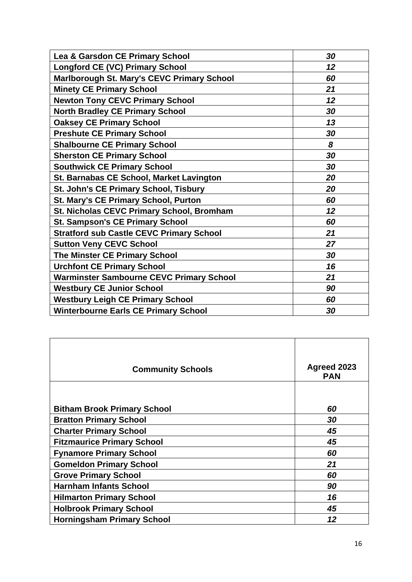| Lea & Garsdon CE Primary School                   | 30 |
|---------------------------------------------------|----|
| <b>Longford CE (VC) Primary School</b>            | 12 |
| <b>Marlborough St. Mary's CEVC Primary School</b> | 60 |
| <b>Minety CE Primary School</b>                   | 21 |
| <b>Newton Tony CEVC Primary School</b>            | 12 |
| <b>North Bradley CE Primary School</b>            | 30 |
| <b>Oaksey CE Primary School</b>                   | 13 |
| <b>Preshute CE Primary School</b>                 | 30 |
| <b>Shalbourne CE Primary School</b>               | 8  |
| <b>Sherston CE Primary School</b>                 | 30 |
| <b>Southwick CE Primary School</b>                | 30 |
| St. Barnabas CE School, Market Lavington          | 20 |
| St. John's CE Primary School, Tisbury             | 20 |
| <b>St. Mary's CE Primary School, Purton</b>       | 60 |
| St. Nicholas CEVC Primary School, Bromham         | 12 |
| <b>St. Sampson's CE Primary School</b>            | 60 |
| <b>Stratford sub Castle CEVC Primary School</b>   | 21 |
| <b>Sutton Veny CEVC School</b>                    | 27 |
| <b>The Minster CE Primary School</b>              | 30 |
| <b>Urchfont CE Primary School</b>                 | 16 |
| <b>Warminster Sambourne CEVC Primary School</b>   | 21 |
| <b>Westbury CE Junior School</b>                  | 90 |
| <b>Westbury Leigh CE Primary School</b>           | 60 |
| <b>Winterbourne Earls CE Primary School</b>       | 30 |
|                                                   |    |

| <b>Community Schools</b>           | Agreed 2023<br><b>PAN</b> |
|------------------------------------|---------------------------|
|                                    |                           |
| <b>Bitham Brook Primary School</b> | 60                        |
| <b>Bratton Primary School</b>      | 30                        |
| <b>Charter Primary School</b>      | 45                        |
| <b>Fitzmaurice Primary School</b>  | 45                        |
| <b>Fynamore Primary School</b>     | 60                        |
| <b>Gomeldon Primary School</b>     | 21                        |
| <b>Grove Primary School</b>        | 60                        |
| <b>Harnham Infants School</b>      | 90                        |
| <b>Hilmarton Primary School</b>    | 16                        |
| <b>Holbrook Primary School</b>     | 45                        |
| <b>Horningsham Primary School</b>  | 12                        |